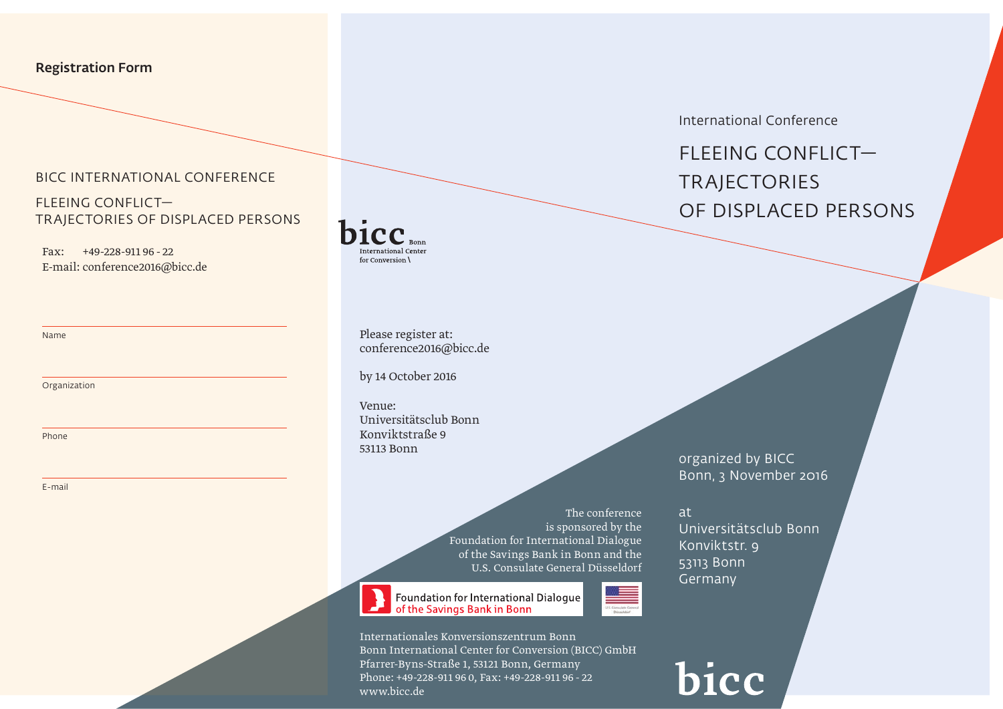# Registration Form

### BICC International Conference

FLEEING CONFLICT— Trajectories of Displaced Persons

Fax: +49-228-911 96 - 22 E-mail: conference2016@bicc.de

Name

Organization

Phone

E-mail

International Center for Conversion \

> Please register at: conference2016@bicc.de

by 14 October 2016

Venue: Universitätsclub Bonn Konviktstraße 9 53113 Bonn

> The conference is sponsored by the Foundation for International Dialogue of the Savings Bank in Bonn and the U.S. Consulate General Düsseldorf

Foundation for International Dialogue of the Savings Bank in Bonn

Internationales Konversionszentrum Bonn Bonn International Center for Conversion (BICC) GmbH Pfarrer-Byns-Straße 1, 53121 Bonn, Germany Phone: +49-228-911 96 0, Fax: +49-228-911 96 - 22 www.bicc.de

International Conference

FLEEING CONFLICT— **TRAJECTORIES** of Displaced Persons

organized by BICC Bonn, 3 November 2016

at Universitätsclub Bonn Konviktstr. 9 53113 Bonn Germany

bicc